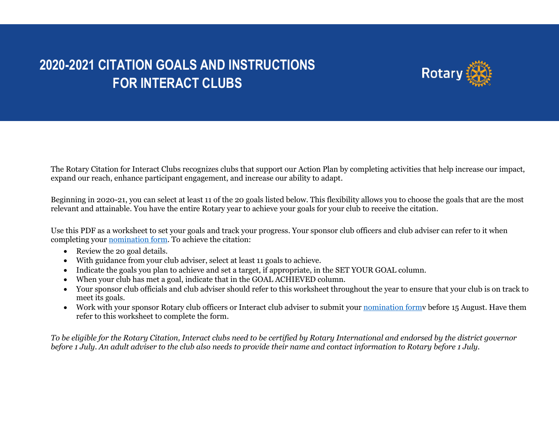## **2020-2021 CITATION GOALS AND INSTRUCTIONS FOR INTERACT CLUBS**



The Rotary Citation for Interact Clubs recognizes clubs that support our Action Plan by completing activities that help increase our impact, expand our reach, enhance participant engagement, and increase our ability to adapt.

Beginning in 2020-21, you can select at least 11 of the 20 goals listed below. This flexibility allows you to choose the goals that are the most relevant and attainable. You have the entire Rotary year to achieve your goals for your club to receive the citation.

Use this PDF as a worksheet to set your goals and track your progress. Your sponsor club officers and club adviser can refer to it when completing your [nomination form.](https://rotary.qualtrics.com/jfe/form/SV_eORFKzaVEEsn8hv) To achieve the citation:

- Review the 20 goal details.
- With guidance from your club adviser, select at least 11 goals to achieve.
- Indicate the goals you plan to achieve and set a target, if appropriate, in the SET YOUR GOAL column.
- When your club has met a goal, indicate that in the GOAL ACHIEVED column.
- Your sponsor club officials and club adviser should refer to this worksheet throughout the year to ensure that your club is on track to meet its goals.
- Work with your sponsor Rotary club officers or Interact club adviser to submit your nomination formy before 15 August. Have them refer to this worksheet to complete the form.

*To be eligible for the Rotary Citation, Interact clubs need to be certified by Rotary International and endorsed by the district governor before 1 July. An adult adviser to the club also needs to provide their name and contact information to Rotary before 1 July.*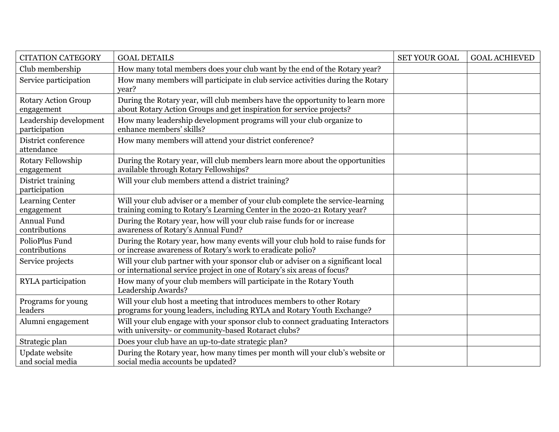| <b>CITATION CATEGORY</b>                 | <b>GOAL DETAILS</b>                                                                                                                                        | <b>SET YOUR GOAL</b> | <b>GOAL ACHIEVED</b> |
|------------------------------------------|------------------------------------------------------------------------------------------------------------------------------------------------------------|----------------------|----------------------|
| Club membership                          | How many total members does your club want by the end of the Rotary year?                                                                                  |                      |                      |
| Service participation                    | How many members will participate in club service activities during the Rotary<br>vear?                                                                    |                      |                      |
| <b>Rotary Action Group</b><br>engagement | During the Rotary year, will club members have the opportunity to learn more<br>about Rotary Action Groups and get inspiration for service projects?       |                      |                      |
| Leadership development<br>participation  | How many leadership development programs will your club organize to<br>enhance members' skills?                                                            |                      |                      |
| District conference<br>attendance        | How many members will attend your district conference?                                                                                                     |                      |                      |
| Rotary Fellowship<br>engagement          | During the Rotary year, will club members learn more about the opportunities<br>available through Rotary Fellowships?                                      |                      |                      |
| District training<br>participation       | Will your club members attend a district training?                                                                                                         |                      |                      |
| Learning Center<br>engagement            | Will your club adviser or a member of your club complete the service-learning<br>training coming to Rotary's Learning Center in the 2020-21 Rotary year?   |                      |                      |
| <b>Annual Fund</b><br>contributions      | During the Rotary year, how will your club raise funds for or increase<br>awareness of Rotary's Annual Fund?                                               |                      |                      |
| PolioPlus Fund<br>contributions          | During the Rotary year, how many events will your club hold to raise funds for<br>or increase awareness of Rotary's work to eradicate polio?               |                      |                      |
| Service projects                         | Will your club partner with your sponsor club or adviser on a significant local<br>or international service project in one of Rotary's six areas of focus? |                      |                      |
| RYLA participation                       | How many of your club members will participate in the Rotary Youth<br>Leadership Awards?                                                                   |                      |                      |
| Programs for young<br>leaders            | Will your club host a meeting that introduces members to other Rotary<br>programs for young leaders, including RYLA and Rotary Youth Exchange?             |                      |                      |
| Alumni engagement                        | Will your club engage with your sponsor club to connect graduating Interactors<br>with university- or community-based Rotaract clubs?                      |                      |                      |
| Strategic plan                           | Does your club have an up-to-date strategic plan?                                                                                                          |                      |                      |
| Update website<br>and social media       | During the Rotary year, how many times per month will your club's website or<br>social media accounts be updated?                                          |                      |                      |